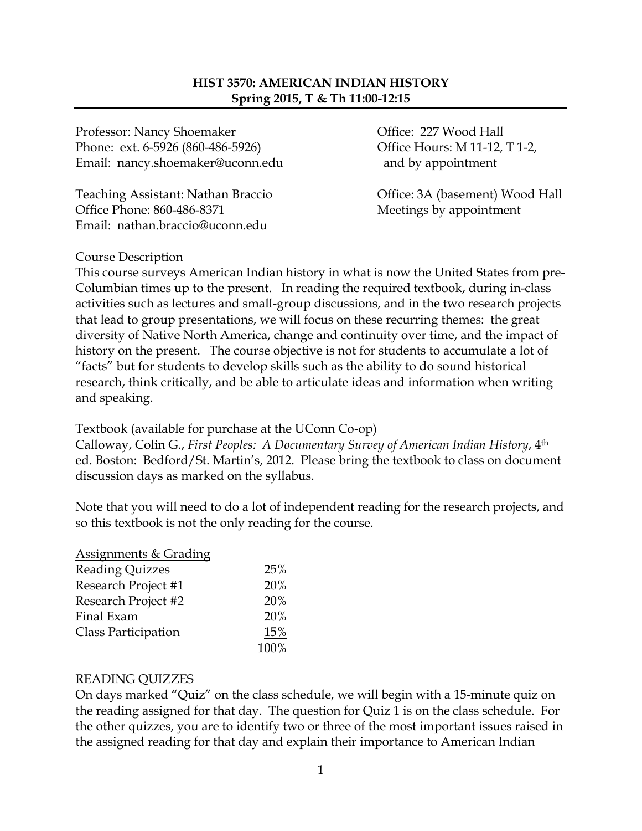### **HIST 3570: AMERICAN INDIAN HISTORY Spring 2015, T & Th 11:00-12:15**

Professor: Nancy Shoemaker **Office: 227 Wood Hall** Phone: ext. 6-5926 (860-486-5926) Office Hours: M 11-12, T 1-2, Email: nancy.shoemaker@uconn.edu and by appointment

Teaching Assistant: Nathan Braccio Office: 3A (basement) Wood Hall Office Phone: 860-486-8371 Meetings by appointment Email: nathan.braccio@uconn.edu

#### Course Description

This course surveys American Indian history in what is now the United States from pre-Columbian times up to the present. In reading the required textbook, during in-class activities such as lectures and small-group discussions, and in the two research projects that lead to group presentations, we will focus on these recurring themes: the great diversity of Native North America, change and continuity over time, and the impact of history on the present. The course objective is not for students to accumulate a lot of "facts" but for students to develop skills such as the ability to do sound historical research, think critically, and be able to articulate ideas and information when writing and speaking.

#### Textbook (available for purchase at the UConn Co-op)

Calloway, Colin G., *First Peoples: A Documentary Survey of American Indian History*, 4th ed. Boston: Bedford/St. Martin's, 2012. Please bring the textbook to class on document discussion days as marked on the syllabus.

Note that you will need to do a lot of independent reading for the research projects, and so this textbook is not the only reading for the course.

| <b>Assignments &amp; Grading</b> |      |
|----------------------------------|------|
| <b>Reading Quizzes</b>           | 25%  |
| Research Project #1              | 20%  |
| Research Project #2              | 20%  |
| Final Exam                       | 20%  |
| Class Participation              | 15%  |
|                                  | 100% |

#### READING QUIZZES

On days marked "Quiz" on the class schedule, we will begin with a 15-minute quiz on the reading assigned for that day. The question for Quiz 1 is on the class schedule. For the other quizzes, you are to identify two or three of the most important issues raised in the assigned reading for that day and explain their importance to American Indian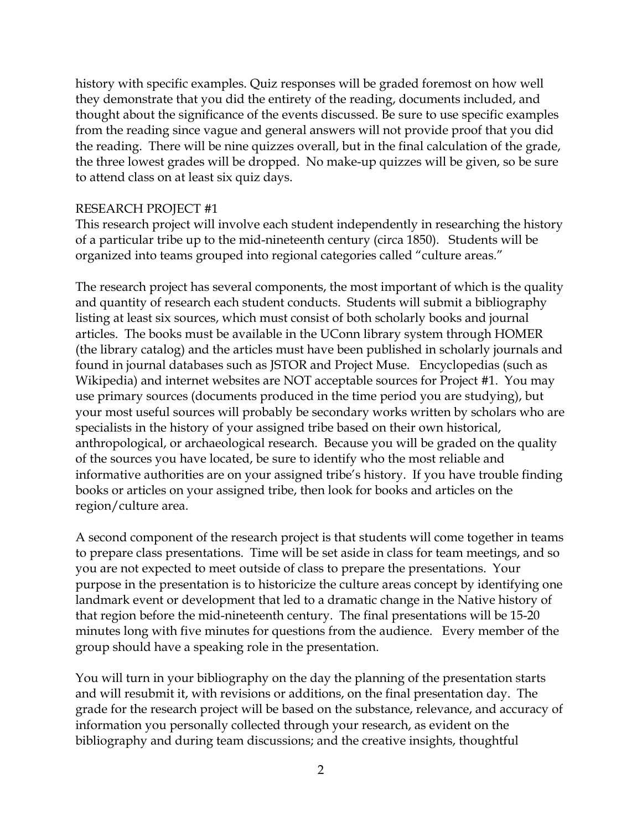history with specific examples. Quiz responses will be graded foremost on how well they demonstrate that you did the entirety of the reading, documents included, and thought about the significance of the events discussed. Be sure to use specific examples from the reading since vague and general answers will not provide proof that you did the reading. There will be nine quizzes overall, but in the final calculation of the grade, the three lowest grades will be dropped. No make-up quizzes will be given, so be sure to attend class on at least six quiz days.

#### RESEARCH PROJECT #1

This research project will involve each student independently in researching the history of a particular tribe up to the mid-nineteenth century (circa 1850). Students will be organized into teams grouped into regional categories called "culture areas."

The research project has several components, the most important of which is the quality and quantity of research each student conducts. Students will submit a bibliography listing at least six sources, which must consist of both scholarly books and journal articles. The books must be available in the UConn library system through HOMER (the library catalog) and the articles must have been published in scholarly journals and found in journal databases such as JSTOR and Project Muse. Encyclopedias (such as Wikipedia) and internet websites are NOT acceptable sources for Project #1. You may use primary sources (documents produced in the time period you are studying), but your most useful sources will probably be secondary works written by scholars who are specialists in the history of your assigned tribe based on their own historical, anthropological, or archaeological research. Because you will be graded on the quality of the sources you have located, be sure to identify who the most reliable and informative authorities are on your assigned tribe's history. If you have trouble finding books or articles on your assigned tribe, then look for books and articles on the region/culture area.

A second component of the research project is that students will come together in teams to prepare class presentations. Time will be set aside in class for team meetings, and so you are not expected to meet outside of class to prepare the presentations. Your purpose in the presentation is to historicize the culture areas concept by identifying one landmark event or development that led to a dramatic change in the Native history of that region before the mid-nineteenth century. The final presentations will be 15-20 minutes long with five minutes for questions from the audience. Every member of the group should have a speaking role in the presentation.

You will turn in your bibliography on the day the planning of the presentation starts and will resubmit it, with revisions or additions, on the final presentation day. The grade for the research project will be based on the substance, relevance, and accuracy of information you personally collected through your research, as evident on the bibliography and during team discussions; and the creative insights, thoughtful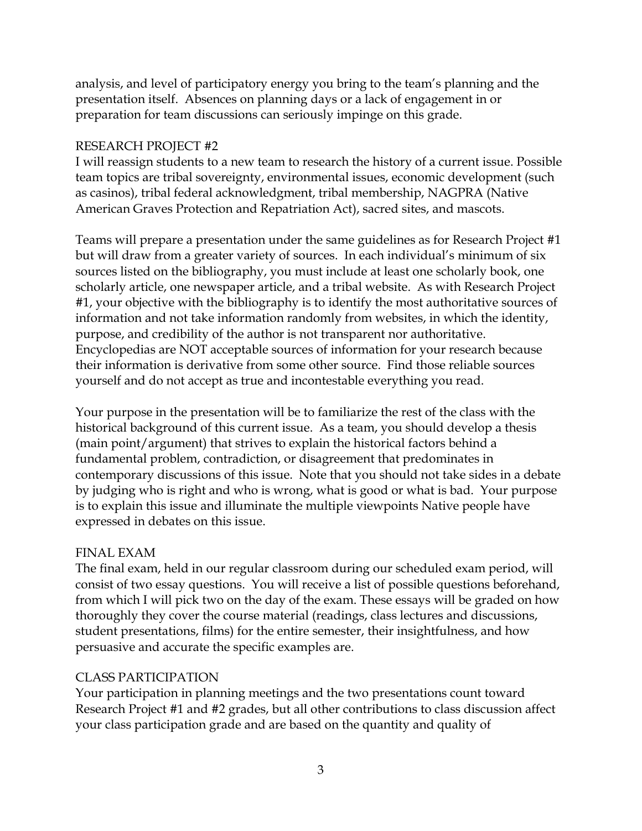analysis, and level of participatory energy you bring to the team's planning and the presentation itself. Absences on planning days or a lack of engagement in or preparation for team discussions can seriously impinge on this grade.

### RESEARCH PROJECT #2

I will reassign students to a new team to research the history of a current issue. Possible team topics are tribal sovereignty, environmental issues, economic development (such as casinos), tribal federal acknowledgment, tribal membership, NAGPRA (Native American Graves Protection and Repatriation Act), sacred sites, and mascots.

Teams will prepare a presentation under the same guidelines as for Research Project #1 but will draw from a greater variety of sources. In each individual's minimum of six sources listed on the bibliography, you must include at least one scholarly book, one scholarly article, one newspaper article, and a tribal website. As with Research Project #1, your objective with the bibliography is to identify the most authoritative sources of information and not take information randomly from websites, in which the identity, purpose, and credibility of the author is not transparent nor authoritative. Encyclopedias are NOT acceptable sources of information for your research because their information is derivative from some other source. Find those reliable sources yourself and do not accept as true and incontestable everything you read.

Your purpose in the presentation will be to familiarize the rest of the class with the historical background of this current issue. As a team, you should develop a thesis (main point/argument) that strives to explain the historical factors behind a fundamental problem, contradiction, or disagreement that predominates in contemporary discussions of this issue. Note that you should not take sides in a debate by judging who is right and who is wrong, what is good or what is bad. Your purpose is to explain this issue and illuminate the multiple viewpoints Native people have expressed in debates on this issue.

### FINAL EXAM

The final exam, held in our regular classroom during our scheduled exam period, will consist of two essay questions. You will receive a list of possible questions beforehand, from which I will pick two on the day of the exam. These essays will be graded on how thoroughly they cover the course material (readings, class lectures and discussions, student presentations, films) for the entire semester, their insightfulness, and how persuasive and accurate the specific examples are.

#### CLASS PARTICIPATION

Your participation in planning meetings and the two presentations count toward Research Project #1 and #2 grades, but all other contributions to class discussion affect your class participation grade and are based on the quantity and quality of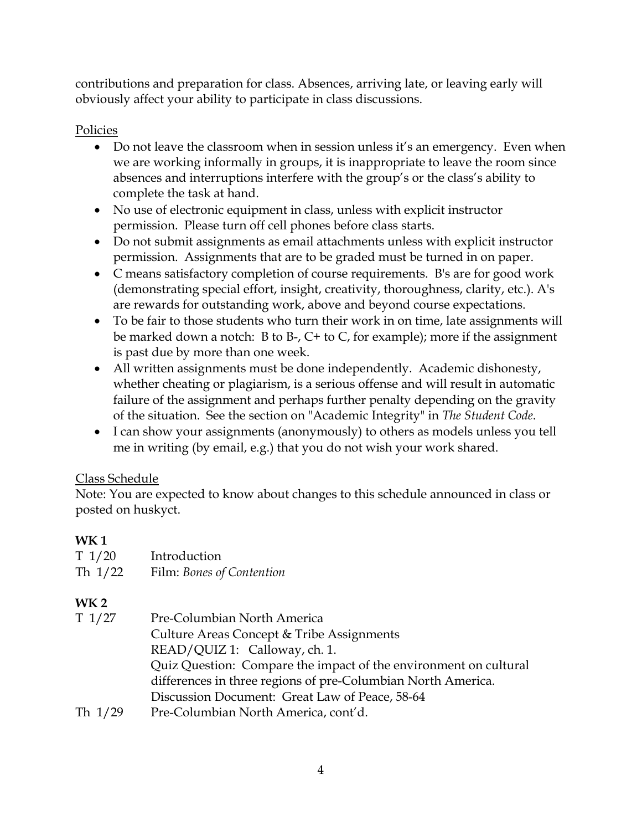contributions and preparation for class. Absences, arriving late, or leaving early will obviously affect your ability to participate in class discussions.

# Policies

- Do not leave the classroom when in session unless it's an emergency. Even when we are working informally in groups, it is inappropriate to leave the room since absences and interruptions interfere with the group's or the class's ability to complete the task at hand.
- No use of electronic equipment in class, unless with explicit instructor permission. Please turn off cell phones before class starts.
- Do not submit assignments as email attachments unless with explicit instructor permission. Assignments that are to be graded must be turned in on paper.
- C means satisfactory completion of course requirements. B's are for good work (demonstrating special effort, insight, creativity, thoroughness, clarity, etc.). A's are rewards for outstanding work, above and beyond course expectations.
- To be fair to those students who turn their work in on time, late assignments will be marked down a notch: B to B-, C+ to C, for example); more if the assignment is past due by more than one week.
- All written assignments must be done independently. Academic dishonesty, whether cheating or plagiarism, is a serious offense and will result in automatic failure of the assignment and perhaps further penalty depending on the gravity of the situation. See the section on "Academic Integrity" in *The Student Code*.
- I can show your assignments (anonymously) to others as models unless you tell me in writing (by email, e.g.) that you do not wish your work shared.

# Class Schedule

Note: You are expected to know about changes to this schedule announced in class or posted on huskyct.

# **WK 1**

| T1/20<br>Th 1/22 | Introduction<br>Film: Bones of Contention                        |
|------------------|------------------------------------------------------------------|
| WK 2             |                                                                  |
| T 1/27           | Pre-Columbian North America                                      |
|                  | Culture Areas Concept & Tribe Assignments                        |
|                  | READ/QUIZ 1: Calloway, ch. 1.                                    |
|                  | Quiz Question: Compare the impact of the environment on cultural |
|                  | differences in three regions of pre-Columbian North America.     |
|                  | Discussion Document: Great Law of Peace, 58-64                   |
| Th 1/29          | Pre-Columbian North America, cont'd.                             |
|                  |                                                                  |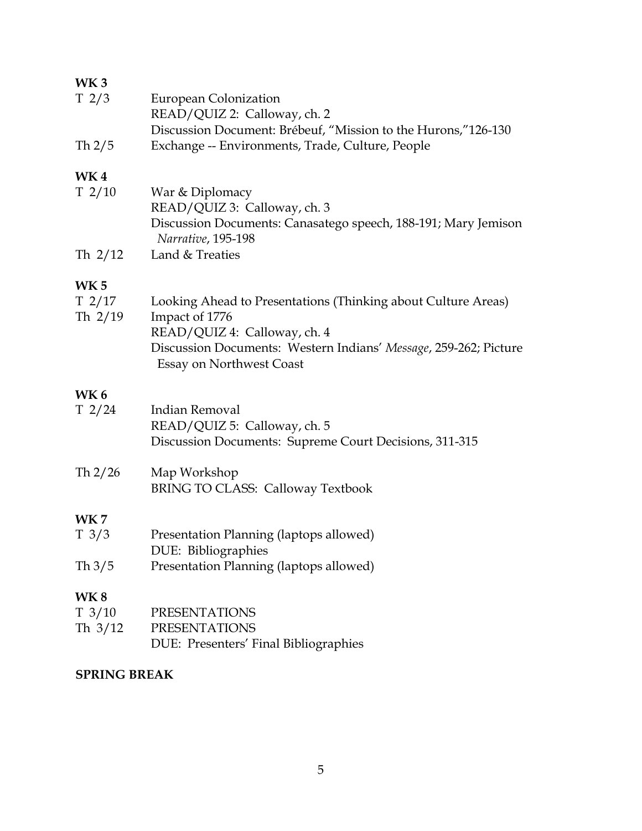### **WK 3**

| T <sub>2/3</sub> | European Colonization                                         |
|------------------|---------------------------------------------------------------|
|                  | READ/QUIZ 2: Calloway, ch. 2                                  |
|                  | Discussion Document: Brébeuf, "Mission to the Hurons,"126-130 |
| Th $2/5$         | Exchange -- Environments, Trade, Culture, People              |

# **WK 4**

| T <sub>2</sub> /10 | War & Diplomacy                                                |
|--------------------|----------------------------------------------------------------|
|                    | READ/QUIZ 3: Calloway, ch. 3                                   |
|                    | Discussion Documents: Canasatego speech, 188-191; Mary Jemison |
|                    | Narrative, 195-198                                             |
| Th $2/12$          | Land & Treaties                                                |

# **WK 5**

| T <sub>2/17</sub> | Looking Ahead to Presentations (Thinking about Culture Areas)    |
|-------------------|------------------------------------------------------------------|
| Th $2/19$         | Impact of 1776                                                   |
|                   | READ/QUIZ 4: Calloway, ch. 4                                     |
|                   | Discussion Documents: Western Indians' Message, 259-262; Picture |
|                   | <b>Essay on Northwest Coast</b>                                  |

# **WK 6**

| T2/24           | Indian Removal                                         |
|-----------------|--------------------------------------------------------|
|                 | READ/QUIZ 5: Calloway, ch. 5                           |
|                 | Discussion Documents: Supreme Court Decisions, 311-315 |
| Th 2/26         | Map Workshop                                           |
|                 | <b>BRING TO CLASS: Calloway Textbook</b>               |
| <b>WK7</b>      |                                                        |
| $T \frac{3}{3}$ | Presentation Planning (laptops allowed)                |
|                 | DUE: Bibliographies                                    |
| Th $3/5$        | Presentation Planning (laptops allowed)                |
| <b>WK8</b>      |                                                        |
| T 3/10          | PRESENTATIONS                                          |

T 3/10 PRESENTATIONS Th 3/12 PRESENTATIONS DUE: Presenters' Final Bibliographies

### **SPRING BREAK**